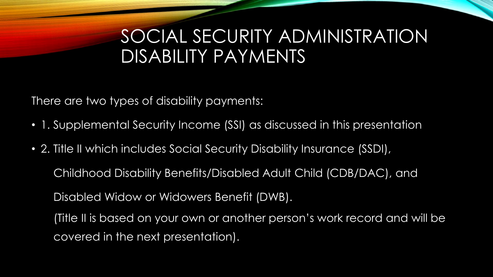### SOCIAL SECURITY ADMINISTRATION DISABILITY PAYMENTS

There are two types of disability payments:

- 1. Supplemental Security Income (SSI) as discussed in this presentation
- 2. Title II which includes Social Security Disability Insurance (SSDI),

Childhood Disability Benefits/Disabled Adult Child (CDB/DAC), and

Disabled Widow or Widowers Benefit (DWB).

(Title II is based on your own or another person's work record and will be covered in the next presentation).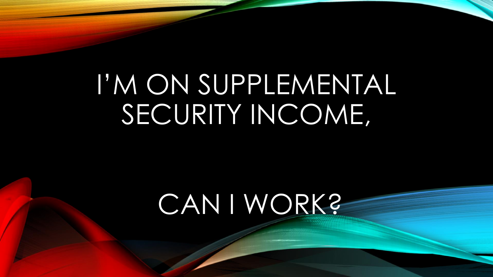# I'M ON SUPPLEMENTAL SECURITY INCOME,

# CAN I WORK?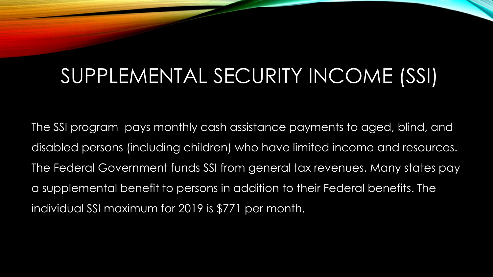# SUPPLEMENTAL SECURITY INCOME (SSI)

The SSI program pays monthly cash assistance payments to aged, blind, and disabled persons (including children) who have limited income and resources. The Federal Government funds SSI from general tax revenues. Many states pay a supplemental benefit to persons in addition to their Federal benefits. The individual SSI maximum for 2019 is \$771 per month.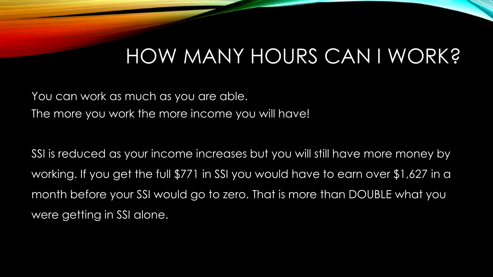## HOW MANY HOURS CAN I WORK?

You can work as much as you are able. The more you work the more income you will have!

SSI is reduced as your income increases but you will still have more money by working. If you get the full \$771 in SSI you would have to earn over \$1,627 in a month before your SSI would go to zero. That is more than DOUBLE what you were getting in SSI alone.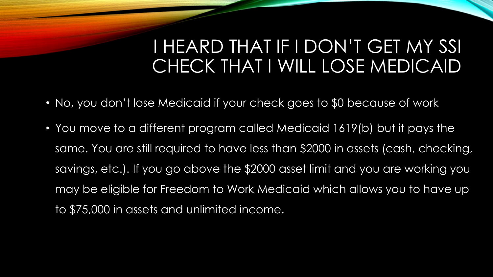### I HEARD THAT IF I DON'T GET MY SSI CHECK THAT I WILL LOSE MEDICAID

- No, you don't lose Medicaid if your check goes to \$0 because of work
- You move to a different program called Medicaid 1619(b) but it pays the same. You are still required to have less than \$2000 in assets (cash, checking, savings, etc.). If you go above the \$2000 asset limit and you are working you may be eligible for Freedom to Work Medicaid which allows you to have up to \$75,000 in assets and unlimited income.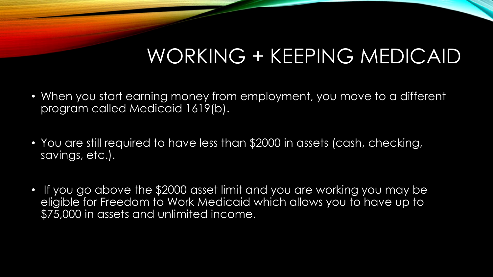## WORKING + KEEPING MEDICAID

- When you start earning money from employment, you move to a different program called Medicaid 1619(b).
- You are still required to have less than \$2000 in assets (cash, checking, savings, etc.).
- If you go above the \$2000 asset limit and you are working you may be eligible for Freedom to Work Medicaid which allows you to have up to \$75,000 in assets and unlimited income.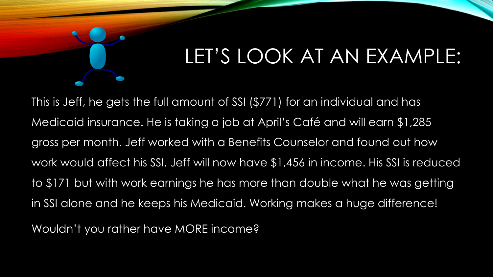# LET'S LOOK AT AN EXAMPLE:

This is Jeff, he gets the full amount of SSI (\$771) for an individual and has Medicaid insurance. He is taking a job at April's Café and will earn \$1,285 gross per month. Jeff worked with a Benefits Counselor and found out how work would affect his SSI. Jeff will now have \$1,456 in income. His SSI is reduced to \$171 but with work earnings he has more than double what he was getting in SSI alone and he keeps his Medicaid. Working makes a huge difference!

Wouldn't you rather have MORE income?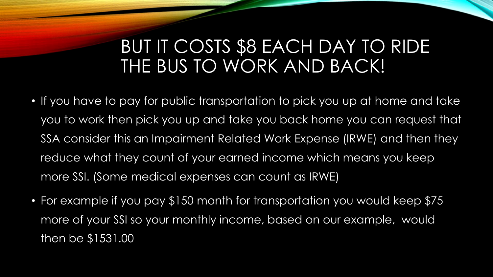### BUT IT COSTS \$8 EACH DAY TO RIDE THE BUS TO WORK AND BACK!

- If you have to pay for public transportation to pick you up at home and take you to work then pick you up and take you back home you can request that SSA consider this an Impairment Related Work Expense (IRWE) and then they reduce what they count of your earned income which means you keep more SSI. (Some medical expenses can count as IRWE)
- For example if you pay \$150 month for transportation you would keep \$75 more of your SSI so your monthly income, based on our example, would then be \$1531.00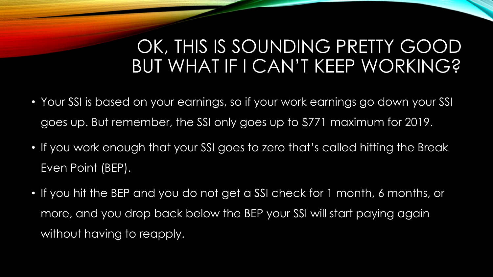### OK, THIS IS SOUNDING PRETTY GOOD BUT WHAT IF I CAN'T KEEP WORKING?

- Your SSI is based on your earnings, so if your work earnings go down your SSI goes up. But remember, the SSI only goes up to \$771 maximum for 2019.
- If you work enough that your SSI goes to zero that's called hitting the Break Even Point (BEP).
- If you hit the BEP and you do not get a SSI check for 1 month, 6 months, or more, and you drop back below the BEP your SSI will start paying again without having to reapply.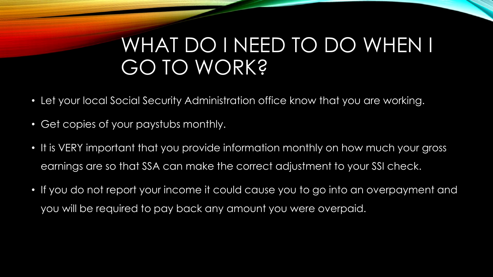### WHAT DO I NEED TO DO WHEN I GO TO WORK?

- Let your local Social Security Administration office know that you are working.
- Get copies of your paystubs monthly.
- It is VERY important that you provide information monthly on how much your gross earnings are so that SSA can make the correct adjustment to your SSI check.
- If you do not report your income it could cause you to go into an overpayment and you will be required to pay back any amount you were overpaid.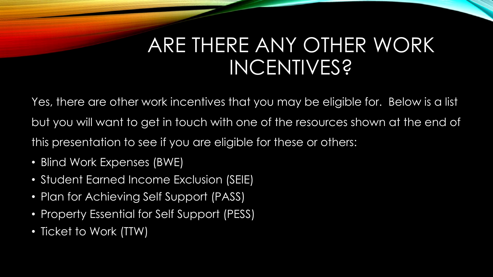## ARE THERE ANY OTHER WORK INCENTIVES?

Yes, there are other work incentives that you may be eligible for. Below is a list but you will want to get in touch with one of the resources shown at the end of this presentation to see if you are eligible for these or others:

- Blind Work Expenses (BWE)
- Student Earned Income Exclusion (SEIE)
- Plan for Achieving Self Support (PASS)
- Property Essential for Self Support (PESS)
- Ticket to Work (TTW)